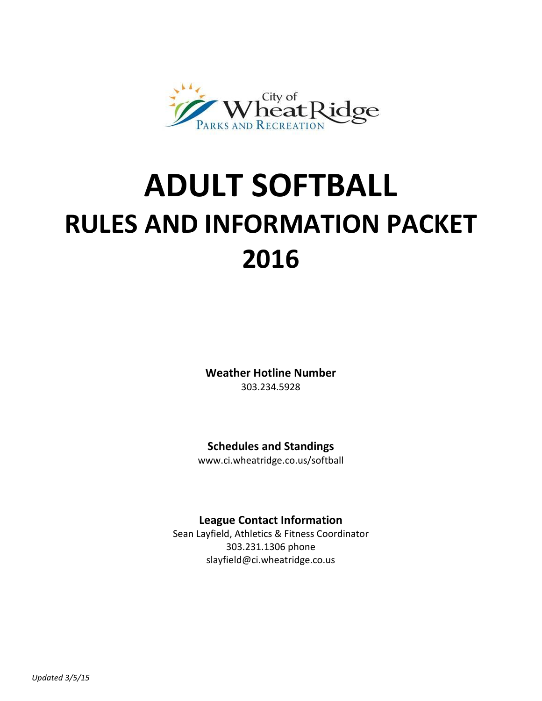

# **ADULT SOFTBALL RULES AND INFORMATION PACKET 2016**

**Weather Hotline Number** 303.234.5928

# **Schedules and Standings**

www.ci.wheatridge.co.us/softball

# **League Contact Information**

Sean Layfield, Athletics & Fitness Coordinator 303.231.1306 phone slayfield@ci.wheatridge.co.us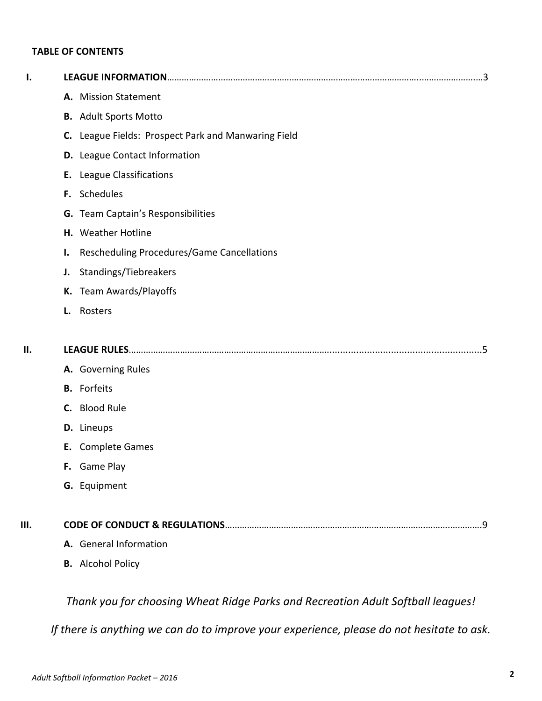# **TABLE OF CONTENTS**

| Ι.  |                                                                                 |
|-----|---------------------------------------------------------------------------------|
|     | A. Mission Statement                                                            |
|     | <b>B.</b> Adult Sports Motto                                                    |
|     | C. League Fields: Prospect Park and Manwaring Field                             |
|     | D. League Contact Information                                                   |
|     | <b>E.</b> League Classifications                                                |
|     | F. Schedules                                                                    |
|     | G. Team Captain's Responsibilities                                              |
|     | H. Weather Hotline                                                              |
|     | Rescheduling Procedures/Game Cancellations<br>Ι.                                |
|     | Standings/Tiebreakers<br>J.                                                     |
|     | K. Team Awards/Playoffs                                                         |
|     | Rosters<br>L.                                                                   |
| ΙΙ. |                                                                                 |
|     | A. Governing Rules                                                              |
|     | <b>B.</b> Forfeits                                                              |
|     | C. Blood Rule                                                                   |
|     | D. Lineups                                                                      |
|     | E. Complete Games                                                               |
|     | <b>F.</b> Game Play                                                             |
|     | G. Equipment                                                                    |
| Ш.  |                                                                                 |
|     | A. General Information                                                          |
|     | <b>B.</b> Alcohol Policy                                                        |
|     | Thank you for choosing Wheat Ridge Parks and Recreation Adult Softball leagues! |

*If there is anything we can do to improve your experience, please do not hesitate to ask.*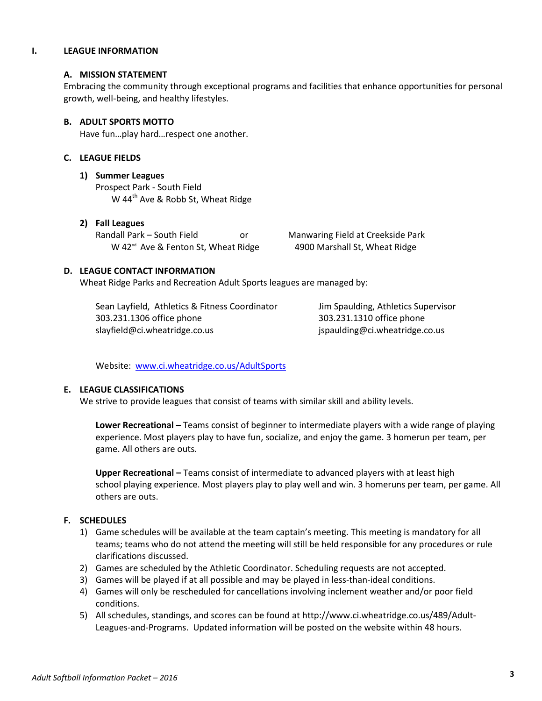#### **I. LEAGUE INFORMATION**

#### **A. MISSION STATEMENT**

Embracing the community through exceptional programs and facilities that enhance opportunities for personal growth, well-being, and healthy lifestyles.

#### **B. ADULT SPORTS MOTTO**

Have fun…play hard…respect one another.

#### **C. LEAGUE FIELDS**

#### **1) Summer Leagues**

Prospect Park - South Field W 44<sup>th</sup> Ave & Robb St, Wheat Ridge

#### **2) Fall Leagues**

Randall Park – South Field or Manwaring Field at Creekside Park W 42<sup>nd</sup> Ave & Fenton St, Wheat Ridge 4900 Marshall St, Wheat Ridge

#### **D. LEAGUE CONTACT INFORMATION**

Wheat Ridge Parks and Recreation Adult Sports leagues are managed by:

Sean Layfield, Athletics & Fitness Coordinator Jim Spaulding, Athletics Supervisor 303.231.1306 office phone 303.231.1310 office phone slayfield@ci.wheatridge.co.us jspaulding@ci.wheatridge.co.us

Website: [www.ci.wheatridge.co.us/AdultSports](http://www.ci.wheatridge.co.us/AdultSports)

#### **E. LEAGUE CLASSIFICATIONS**

We strive to provide leagues that consist of teams with similar skill and ability levels.

**Lower Recreational –** Teams consist of beginner to intermediate players with a wide range of playing experience. Most players play to have fun, socialize, and enjoy the game. 3 homerun per team, per game. All others are outs.

**Upper Recreational –** Teams consist of intermediate to advanced players with at least high school playing experience. Most players play to play well and win. 3 homeruns per team, per game. All others are outs.

# **F. SCHEDULES**

- 1) Game schedules will be available at the team captain's meeting. This meeting is mandatory for all teams; teams who do not attend the meeting will still be held responsible for any procedures or rule clarifications discussed.
- 2) Games are scheduled by the Athletic Coordinator. Scheduling requests are not accepted.
- 3) Games will be played if at all possible and may be played in less-than-ideal conditions.
- 4) Games will only be rescheduled for cancellations involving inclement weather and/or poor field conditions.
- 5) All schedules, standings, and scores can be found at http://www.ci.wheatridge.co.us/489/Adult-Leagues-and-Programs. Updated information will be posted on the website within 48 hours.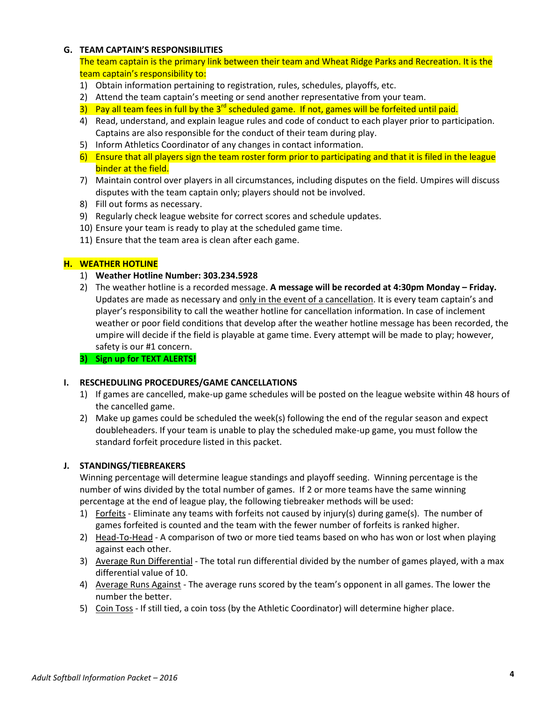## **G. TEAM CAPTAIN'S RESPONSIBILITIES**

The team captain is the primary link between their team and Wheat Ridge Parks and Recreation. It is the team captain's responsibility to:

- 1) Obtain information pertaining to registration, rules, schedules, playoffs, etc.
- 2) Attend the team captain's meeting or send another representative from your team.
- 3) Pay all team fees in full by the 3<sup>rd</sup> scheduled game. If not, games will be forfeited until paid.
- 4) Read, understand, and explain league rules and code of conduct to each player prior to participation. Captains are also responsible for the conduct of their team during play.
- 5) Inform Athletics Coordinator of any changes in contact information.
- 6) Ensure that all players sign the team roster form prior to participating and that it is filed in the league binder at the field.
- 7) Maintain control over players in all circumstances, including disputes on the field. Umpires will discuss disputes with the team captain only; players should not be involved.
- 8) Fill out forms as necessary.
- 9) Regularly check league website for correct scores and schedule updates.
- 10) Ensure your team is ready to play at the scheduled game time.
- 11) Ensure that the team area is clean after each game.

# **H. WEATHER HOTLINE**

- 1) **Weather Hotline Number: 303.234.5928**
- 2) The weather hotline is a recorded message. **A message will be recorded at 4:30pm Monday – Friday.**  Updates are made as necessary and only in the event of a cancellation. It is every team captain's and player's responsibility to call the weather hotline for cancellation information. In case of inclement weather or poor field conditions that develop after the weather hotline message has been recorded, the umpire will decide if the field is playable at game time. Every attempt will be made to play; however, safety is our #1 concern.

# **3) Sign up for TEXT ALERTS!**

# **I. RESCHEDULING PROCEDURES/GAME CANCELLATIONS**

- 1) If games are cancelled, make-up game schedules will be posted on the league website within 48 hours of the cancelled game.
- 2) Make up games could be scheduled the week(s) following the end of the regular season and expect doubleheaders. If your team is unable to play the scheduled make-up game, you must follow the standard forfeit procedure listed in this packet.

# **J. STANDINGS/TIEBREAKERS**

Winning percentage will determine league standings and playoff seeding. Winning percentage is the number of wins divided by the total number of games. If 2 or more teams have the same winning percentage at the end of league play, the following tiebreaker methods will be used:

- 1) Forfeits Eliminate any teams with forfeits not caused by injury(s) during game(s). The number of games forfeited is counted and the team with the fewer number of forfeits is ranked higher.
- 2) Head-To-Head A comparison of two or more tied teams based on who has won or lost when playing against each other.
- 3) Average Run Differential The total run differential divided by the number of games played, with a max differential value of 10.
- 4) Average Runs Against The average runs scored by the team's opponent in all games. The lower the number the better.
- 5) Coin Toss If still tied, a coin toss (by the Athletic Coordinator) will determine higher place.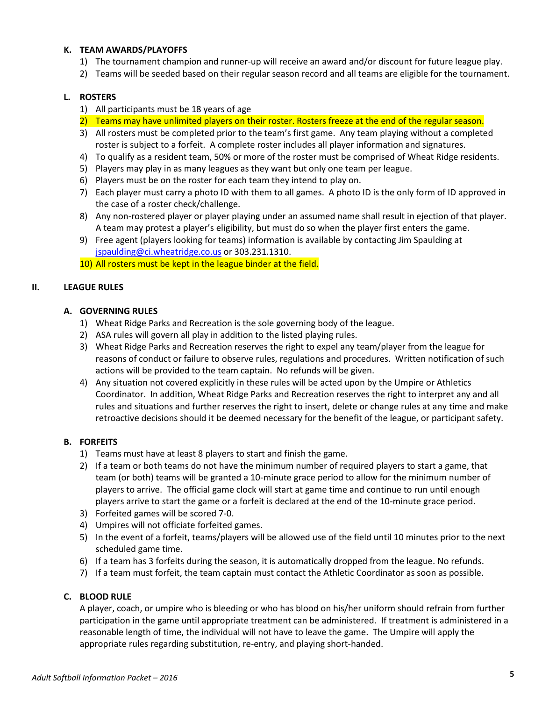#### **K. TEAM AWARDS/PLAYOFFS**

- 1) The tournament champion and runner-up will receive an award and/or discount for future league play.
- 2) Teams will be seeded based on their regular season record and all teams are eligible for the tournament.

#### **L. ROSTERS**

- 1) All participants must be 18 years of age
- 2) Teams may have unlimited players on their roster. Rosters freeze at the end of the regular season.
- 3) All rosters must be completed prior to the team's first game. Any team playing without a completed roster is subject to a forfeit. A complete roster includes all player information and signatures.
- 4) To qualify as a resident team, 50% or more of the roster must be comprised of Wheat Ridge residents.
- 5) Players may play in as many leagues as they want but only one team per league.
- 6) Players must be on the roster for each team they intend to play on.
- 7) Each player must carry a photo ID with them to all games. A photo ID is the only form of ID approved in the case of a roster check/challenge.
- 8) Any non-rostered player or player playing under an assumed name shall result in ejection of that player. A team may protest a player's eligibility, but must do so when the player first enters the game.
- 9) Free agent (players looking for teams) information is available by contacting Jim Spaulding at [jspaulding@ci.wheatridge.co.us](mailto:jspaulding@ci.wheatridge.co.us) or 303.231.1310.

10) All rosters must be kept in the league binder at the field.

#### **II. LEAGUE RULES**

#### **A. GOVERNING RULES**

- 1) Wheat Ridge Parks and Recreation is the sole governing body of the league.
- 2) ASA rules will govern all play in addition to the listed playing rules.
- 3) Wheat Ridge Parks and Recreation reserves the right to expel any team/player from the league for reasons of conduct or failure to observe rules, regulations and procedures. Written notification of such actions will be provided to the team captain. No refunds will be given.
- 4) Any situation not covered explicitly in these rules will be acted upon by the Umpire or Athletics Coordinator. In addition, Wheat Ridge Parks and Recreation reserves the right to interpret any and all rules and situations and further reserves the right to insert, delete or change rules at any time and make retroactive decisions should it be deemed necessary for the benefit of the league, or participant safety.

# **B. FORFEITS**

- 1) Teams must have at least 8 players to start and finish the game.
- 2) If a team or both teams do not have the minimum number of required players to start a game, that team (or both) teams will be granted a 10-minute grace period to allow for the minimum number of players to arrive. The official game clock will start at game time and continue to run until enough players arrive to start the game or a forfeit is declared at the end of the 10-minute grace period.
- 3) Forfeited games will be scored 7-0.
- 4) Umpires will not officiate forfeited games.
- 5) In the event of a forfeit, teams/players will be allowed use of the field until 10 minutes prior to the next scheduled game time.
- 6) If a team has 3 forfeits during the season, it is automatically dropped from the league. No refunds.
- 7) If a team must forfeit, the team captain must contact the Athletic Coordinator as soon as possible.

# **C. BLOOD RULE**

A player, coach, or umpire who is bleeding or who has blood on his/her uniform should refrain from further participation in the game until appropriate treatment can be administered. If treatment is administered in a reasonable length of time, the individual will not have to leave the game. The Umpire will apply the appropriate rules regarding substitution, re-entry, and playing short-handed.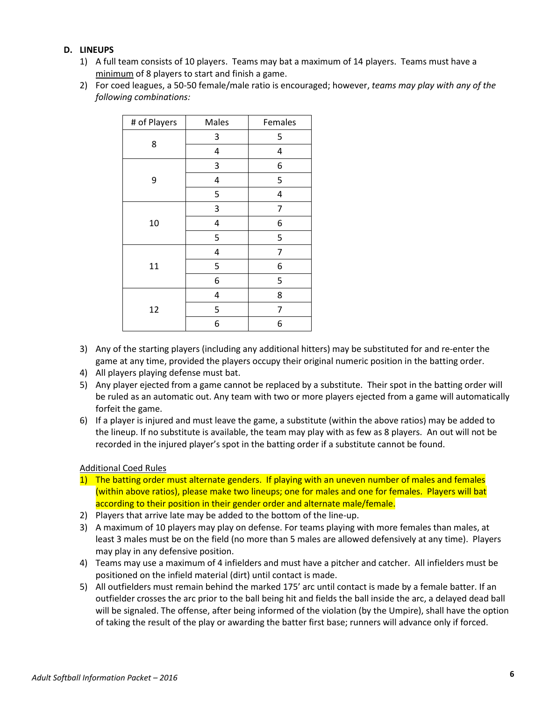# **D. LINEUPS**

- 1) A full team consists of 10 players. Teams may bat a maximum of 14 players. Teams must have a minimum of 8 players to start and finish a game.
- 2) For coed leagues, a 50-50 female/male ratio is encouraged; however, *teams may play with any of the following combinations:*

| # of Players | Males                   | Females                 |
|--------------|-------------------------|-------------------------|
|              | 3                       | 5                       |
| 8            | 4                       | $\overline{\mathbf{r}}$ |
|              | 3                       | 6                       |
| 9            | $\overline{\mathbf{4}}$ | 5                       |
|              | 5                       | $\overline{\mathbf{4}}$ |
|              | 3                       | 7                       |
| 10           | 4                       | 6                       |
|              | 5                       | 5                       |
|              | 4                       | 7                       |
| 11           | 5                       | 6                       |
|              | 6                       | 5                       |
|              | 4                       | 8                       |
| 12           | 5                       | 7                       |
|              | 6                       | 6                       |

- 3) Any of the starting players (including any additional hitters) may be substituted for and re-enter the game at any time, provided the players occupy their original numeric position in the batting order.
- 4) All players playing defense must bat.
- 5) Any player ejected from a game cannot be replaced by a substitute. Their spot in the batting order will be ruled as an automatic out. Any team with two or more players ejected from a game will automatically forfeit the game.
- 6) If a player is injured and must leave the game, a substitute (within the above ratios) may be added to the lineup. If no substitute is available, the team may play with as few as 8 players. An out will not be recorded in the injured player's spot in the batting order if a substitute cannot be found.

# Additional Coed Rules

- 1) The batting order must alternate genders. If playing with an uneven number of males and females (within above ratios), please make two lineups; one for males and one for females. Players will bat according to their position in their gender order and alternate male/female.
- 2) Players that arrive late may be added to the bottom of the line-up.
- 3) A maximum of 10 players may play on defense. For teams playing with more females than males, at least 3 males must be on the field (no more than 5 males are allowed defensively at any time). Players may play in any defensive position.
- 4) Teams may use a maximum of 4 infielders and must have a pitcher and catcher. All infielders must be positioned on the infield material (dirt) until contact is made.
- 5) All outfielders must remain behind the marked 175' arc until contact is made by a female batter. If an outfielder crosses the arc prior to the ball being hit and fields the ball inside the arc, a delayed dead ball will be signaled. The offense, after being informed of the violation (by the Umpire), shall have the option of taking the result of the play or awarding the batter first base; runners will advance only if forced.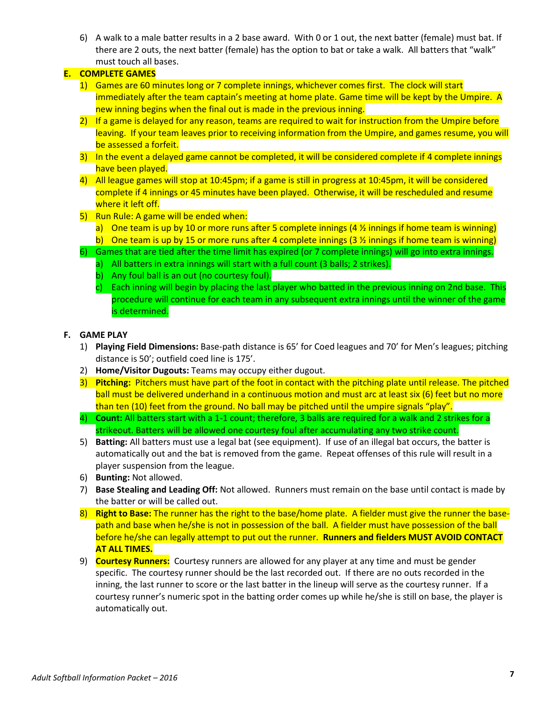6) A walk to a male batter results in a 2 base award. With 0 or 1 out, the next batter (female) must bat. If there are 2 outs, the next batter (female) has the option to bat or take a walk.All batters that "walk" must touch all bases.

# **E. COMPLETE GAMES**

- 1) Games are 60 minutes long or 7 complete innings, whichever comes first. The clock will start immediately after the team captain's meeting at home plate. Game time will be kept by the Umpire. A new inning begins when the final out is made in the previous inning.
- 2) If a game is delayed for any reason, teams are required to wait for instruction from the Umpire before leaving. If your team leaves prior to receiving information from the Umpire, and games resume, you will be assessed a forfeit.
- 3) In the event a delayed game cannot be completed, it will be considered complete if 4 complete innings have been played.
- 4) All league games will stop at 10:45pm; if a game is still in progress at 10:45pm, it will be considered complete if 4 innings or 45 minutes have been played. Otherwise, it will be rescheduled and resume where it left off.
- 5) Run Rule: A game will be ended when:
	- a) One team is up by 10 or more runs after 5 complete innings  $(4 \frac{1}{2})$  innings if home team is winning)
	- b) One team is up by 15 or more runs after 4 complete innings (3  $\frac{1}{2}$  innings if home team is winning)
- 6) Games that are tied after the time limit has expired (or 7 complete innings) will go into extra innings.
	- a) All batters in extra innings will start with a full count (3 balls; 2 strikes).
	- b) Any foul ball is an out (no courtesy foul).
	- c) Each inning will begin by placing the last player who batted in the previous inning on 2nd base. This procedure will continue for each team in any subsequent extra innings until the winner of the game is determined.

# **F. GAME PLAY**

- 1) **Playing Field Dimensions:** Base-path distance is 65' for Coed leagues and 70' for Men's leagues; pitching distance is 50'; outfield coed line is 175'.
- 2) **Home/Visitor Dugouts:** Teams may occupy either dugout.
- 3) **Pitching:** Pitchers must have part of the foot in contact with the pitching plate until release. The pitched ball must be delivered underhand in a continuous motion and must arc at least six (6) feet but no more than ten (10) feet from the ground. No ball may be pitched until the umpire signals "play".
- 4) **Count:** All batters start with a 1-1 count; therefore, 3 balls are required for a walk and 2 strikes for a strikeout. Batters will be allowed one courtesy foul after accumulating any two strike count.
- 5) **Batting:** All batters must use a legal bat (see equipment). If use of an illegal bat occurs, the batter is automatically out and the bat is removed from the game. Repeat offenses of this rule will result in a player suspension from the league.
- 6) **Bunting:** Not allowed.
- 7) **Base Stealing and Leading Off:** Not allowed. Runners must remain on the base until contact is made by the batter or will be called out.
- 8) **Right to Base:** The runner has the right to the base/home plate. A fielder must give the runner the basepath and base when he/she is not in possession of the ball. A fielder must have possession of the ball before he/she can legally attempt to put out the runner. **Runners and fielders MUST AVOID CONTACT AT ALL TIMES.**
- 9) **Courtesy Runners:** Courtesy runners are allowed for any player at any time and must be gender specific. The courtesy runner should be the last recorded out. If there are no outs recorded in the inning, the last runner to score or the last batter in the lineup will serve as the courtesy runner. If a courtesy runner's numeric spot in the batting order comes up while he/she is still on base, the player is automatically out.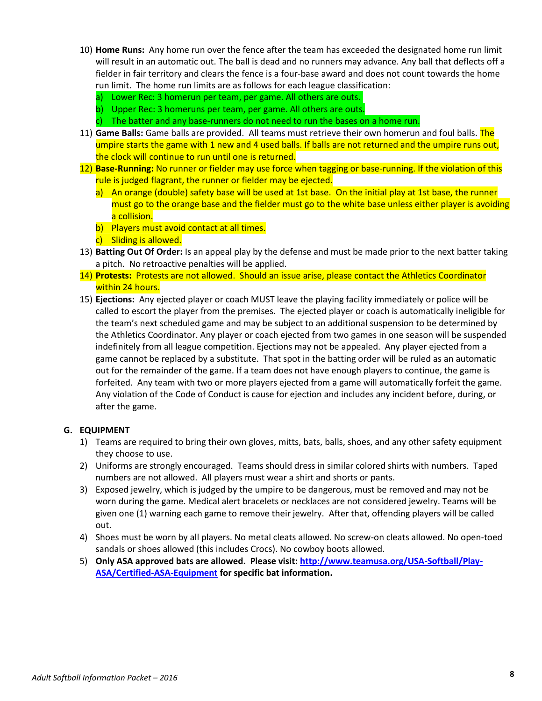- 10) **Home Runs:** Any home run over the fence after the team has exceeded the designated home run limit will result in an automatic out. The ball is dead and no runners may advance. Any ball that deflects off a fielder in fair territory and clears the fence is a four-base award and does not count towards the home run limit. The home run limits are as follows for each league classification:
	- a) Lower Rec: 3 homerun per team, per game. All others are outs.
	- b) Upper Rec: 3 homeruns per team, per game. All others are outs.
	- c) The batter and any base-runners do not need to run the bases on a home run.
- 11) **Game Balls:** Game balls are provided. All teams must retrieve their own homerun and foul balls. The umpire starts the game with 1 new and 4 used balls. If balls are not returned and the umpire runs out, the clock will continue to run until one is returned.
- 12) **Base-Running:** No runner or fielder may use force when tagging or base-running. If the violation of this rule is judged flagrant, the runner or fielder may be ejected.
	- a) An orange (double) safety base will be used at 1st base. On the initial play at 1st base, the runner must go to the orange base and the fielder must go to the white base unless either player is avoiding a collision.
	- b) Players must avoid contact at all times.
	- c) Sliding is allowed.
- 13) **Batting Out Of Order:** Is an appeal play by the defense and must be made prior to the next batter taking a pitch. No retroactive penalties will be applied.
- 14) **Protests:** Protests are not allowed. Should an issue arise, please contact the Athletics Coordinator within 24 hours.
- 15) **Ejections:** Any ejected player or coach MUST leave the playing facility immediately or police will be called to escort the player from the premises. The ejected player or coach is automatically ineligible for the team's next scheduled game and may be subject to an additional suspension to be determined by the Athletics Coordinator. Any player or coach ejected from two games in one season will be suspended indefinitely from all league competition. Ejections may not be appealed. Any player ejected from a game cannot be replaced by a substitute. That spot in the batting order will be ruled as an automatic out for the remainder of the game. If a team does not have enough players to continue, the game is forfeited. Any team with two or more players ejected from a game will automatically forfeit the game. Any violation of the Code of Conduct is cause for ejection and includes any incident before, during, or after the game.

# **G. EQUIPMENT**

- 1) Teams are required to bring their own gloves, mitts, bats, balls, shoes, and any other safety equipment they choose to use.
- 2) Uniforms are strongly encouraged. Teams should dress in similar colored shirts with numbers. Taped numbers are not allowed. All players must wear a shirt and shorts or pants.
- 3) Exposed jewelry, which is judged by the umpire to be dangerous, must be removed and may not be worn during the game. Medical alert bracelets or necklaces are not considered jewelry. Teams will be given one (1) warning each game to remove their jewelry. After that, offending players will be called out.
- 4) Shoes must be worn by all players. No metal cleats allowed. No screw-on cleats allowed. No open-toed sandals or shoes allowed (this includes Crocs). No cowboy boots allowed.
- 5) **Only ASA approved bats are allowed. Please visit: [http://www.teamusa.org/USA-Softball/Play-](http://www.teamusa.org/USA-Softball/Play-ASA/Certified-ASA-Equipment)[ASA/Certified-ASA-Equipment](http://www.teamusa.org/USA-Softball/Play-ASA/Certified-ASA-Equipment) for specific bat information.**